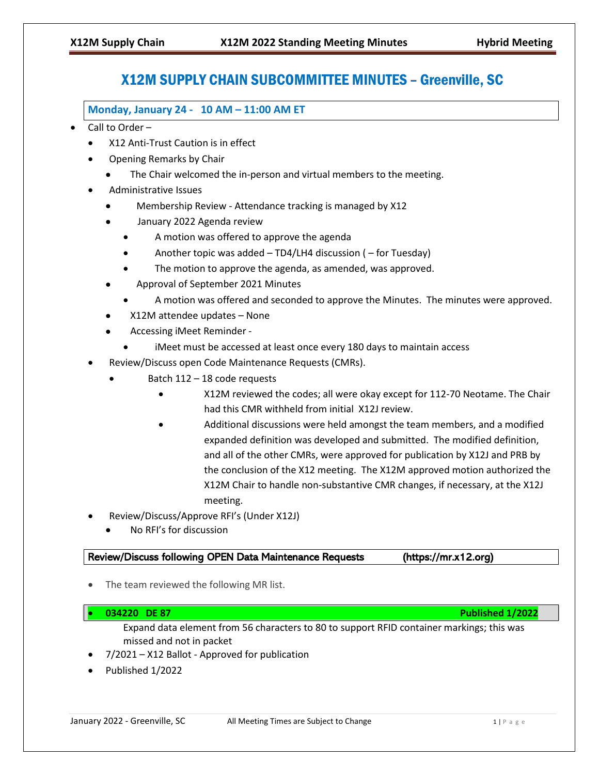# X12M SUPPLY CHAIN SUBCOMMITTEE MINUTES – Greenville, SC

**Monday, January 24 - 10 AM – 11:00 AM ET** 

- Call to Order
	- X12 Anti-Trust Caution is in effect
	- Opening Remarks by Chair
		- The Chair welcomed the in-person and virtual members to the meeting.
	- Administrative Issues
		- Membership Review Attendance tracking is managed by X12
		- January 2022 Agenda review
			- A motion was offered to approve the agenda
			- Another topic was added TD4/LH4 discussion ( for Tuesday)
			- The motion to approve the agenda, as amended, was approved.
		- Approval of September 2021 Minutes
			- A motion was offered and seconded to approve the Minutes. The minutes were approved.
		- X12M attendee updates None
		- Accessing iMeet Reminder
			- iMeet must be accessed at least once every 180 days to maintain access
	- Review/Discuss open Code Maintenance Requests (CMRs).
		- Batch 112 18 code requests
			- X12M reviewed the codes; all were okay except for 112-70 Neotame. The Chair had this CMR withheld from initial X12J review.
			- Additional discussions were held amongst the team members, and a modified expanded definition was developed and submitted. The modified definition, and all of the other CMRs, were approved for publication by X12J and PRB by the conclusion of the X12 meeting. The X12M approved motion authorized the X12M Chair to handle non-substantive CMR changes, if necessary, at the X12J meeting.
	- Review/Discuss/Approve RFI's (Under X12J)
		- No RFI's for discussion

## Review/Discuss following OPEN Data Maintenance Requests (https://mr.x12.org)

The team reviewed the following MR list.

## • **034220 DE 87 Published 1/2022**

- Expand data element from 56 characters to 80 to support RFID container markings; this was missed and not in packet
- 7/2021 X12 Ballot Approved for publication
- Published 1/2022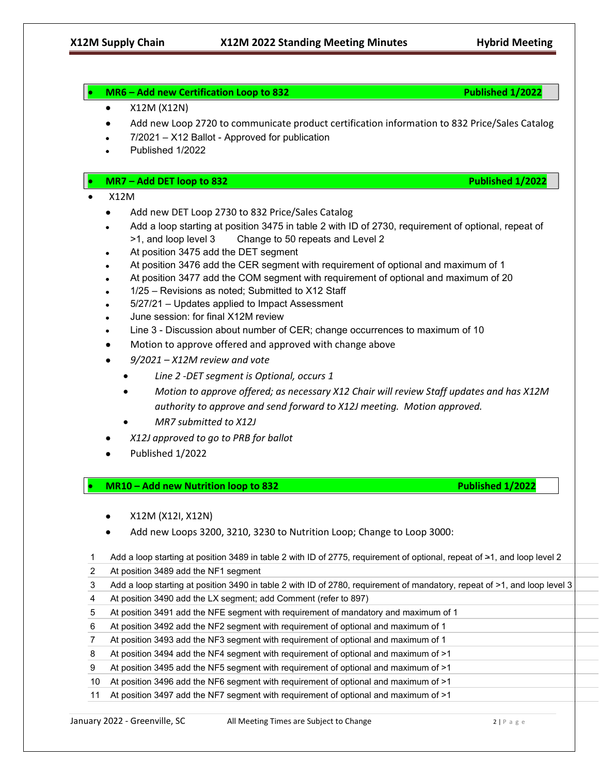# • **MR6 – Add new Certification Loop to 832 Published 1/2022** • X12M (X12N) • Add new Loop 2720 to communicate product certification information to 832 Price/Sales Catalog • 7/2021 – X12 Ballot - Approved for publication • Published 1/2022 • **MR7 – Add DET loop to 832 Published 1/2022** • X12M • Add new DET Loop 2730 to 832 Price/Sales Catalog • Add a loop starting at position 3475 in table 2 with ID of 2730, requirement of optional, repeat of >1, and loop level 3 Change to 50 repeats and Level 2 At position 3475 add the DET segment • At position 3476 add the CER segment with requirement of optional and maximum of 1 • At position 3477 add the COM segment with requirement of optional and maximum of 20 • 1/25 – Revisions as noted; Submitted to X12 Staff • 5/27/21 – Updates applied to Impact Assessment • June session: for final X12M review • Line 3 - Discussion about number of CER; change occurrences to maximum of 10 • Motion to approve offered and approved with change above • *9/2021 – X12M review and vote* • *Line 2 -DET segment is Optional, occurs 1* • *Motion to approve offered; as necessary X12 Chair will review Staff updates and has X12M authority to approve and send forward to X12J meeting. Motion approved.* • *MR7 submitted to X12J* • *X12J approved to go to PRB for ballot* • Published 1/2022 • **MR10 – Add new Nutrition loop to 832 Published 1/2022**  • X12M (X12I, X12N) • Add new Loops 3200, 3210, 3230 to Nutrition Loop; Change to Loop 3000: 1 Add a loop starting at position 3489 in table 2 with ID of 2775, requirement of optional, repeat of  $\geq 1$ , and loop level 2 2 At position 3489 add the NF1 segment 3 Add a loop starting at position 3490 in table 2 with ID of 2780, requirement of mandatory, repeat of >1, and loop level 3 4 At position 3490 add the LX segment; add Comment (refer to 897) 5 At position 3491 add the NFE segment with requirement of mandatory and maximum of 1 6 At position 3492 add the NF2 segment with requirement of optional and maximum of 1 7 At position 3493 add the NF3 segment with requirement of optional and maximum of 1 8 At position 3494 add the NF4 segment with requirement of optional and maximum of >1 9 At position 3495 add the NF5 segment with requirement of optional and maximum of >1 10 At position 3496 add the NF6 segment with requirement of optional and maximum of >1 11 At position 3497 add the NF7 segment with requirement of optional and maximum of >1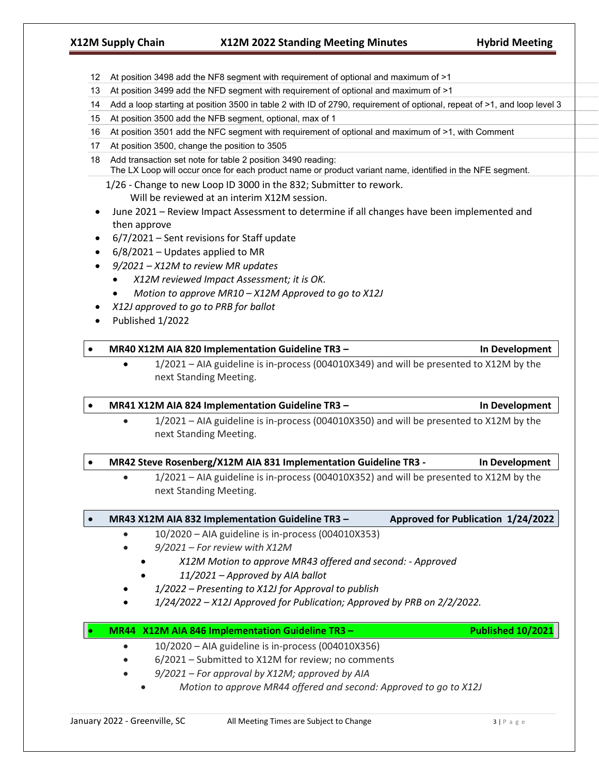- 12 At position 3498 add the NF8 segment with requirement of optional and maximum of >1
- 13 At position 3499 add the NFD segment with requirement of optional and maximum of >1
- 14 Add a loop starting at position 3500 in table 2 with ID of 2790, requirement of optional, repeat of >1, and loop level 3
- 15 At position 3500 add the NFB segment, optional, max of 1
- 16 At position 3501 add the NFC segment with requirement of optional and maximum of >1, with Comment
- 17 At position 3500, change the position to 3505
- 18 Add transaction set note for table 2 position 3490 reading: The LX Loop will occur once for each product name or product variant name, identified in the NFE segment.
	- 1/26 Change to new Loop ID 3000 in the 832; Submitter to rework.

Will be reviewed at an interim X12M session.

- June 2021 Review Impact Assessment to determine if all changes have been implemented and then approve
- 6/7/2021 Sent revisions for Staff update
- $6/8/2021$  Updates applied to MR
- *9/2021 – X12M to review MR updates*
	- *X12M reviewed Impact Assessment; it is OK.*
	- *Motion to approve MR10 – X12M Approved to go to X12J*
- *X12J approved to go to PRB for ballot*
- Published 1/2022

## • **MR40 X12M AIA 820 Implementation Guideline TR3 – In Development**

• 1/2021 – AIA guideline is in-process (004010X349) and will be presented to X12M by the next Standing Meeting.

## • **MR41 X12M AIA 824 Implementation Guideline TR3 – In Development**

• 1/2021 – AIA guideline is in-process (004010X350) and will be presented to X12M by the next Standing Meeting.

## • **MR42 Steve Rosenberg/X12M AIA 831 Implementation Guideline TR3 - In Development**

• 1/2021 – AIA guideline is in-process (004010X352) and will be presented to X12M by the next Standing Meeting.

# • **MR43 X12M AIA 832 Implementation Guideline TR3 – Approved for Publication 1/24/2022**

- 10/2020 AIA guideline is in-process (004010X353)
- *9/2021 – For review with X12M*
	- *X12M Motion to approve MR43 offered and second: - Approved*
	- *11/2021 – Approved by AIA ballot*
- *1/2022 – Presenting to X12J for Approval to publish*
- *1/24/2022 – X12J Approved for Publication; Approved by PRB on 2/2/2022.*

## • **MR44 X12M AIA 846 Implementation Guideline TR3 – Published 10/2021**

- 10/2020 AIA guideline is in-process (004010X356)
- 6/2021 Submitted to X12M for review; no comments
- *9/2021 – For approval by X12M; approved by AIA*
	- *Motion to approve MR44 offered and second: Approved to go to X12J*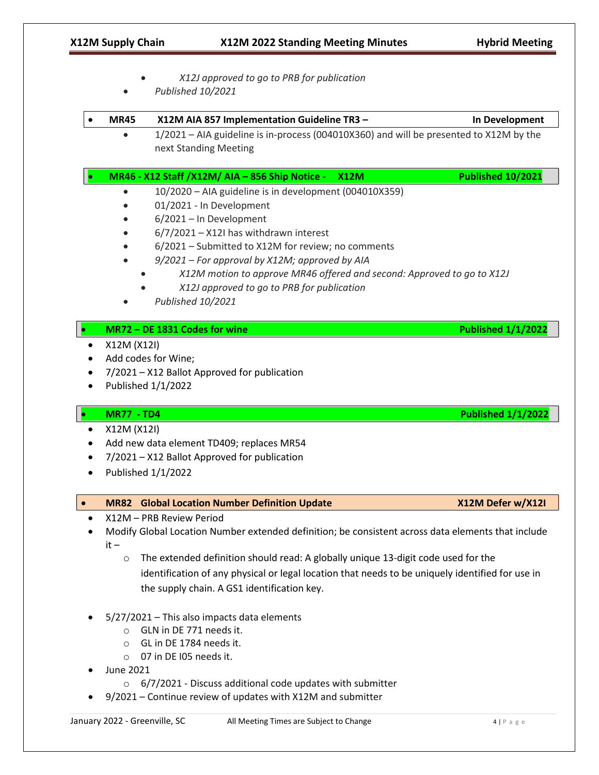|   |                   | X12J approved to go to PRB for publication<br>Published 10/2021                                                                                                                                                                                                                                                                                                                                                |                           |
|---|-------------------|----------------------------------------------------------------------------------------------------------------------------------------------------------------------------------------------------------------------------------------------------------------------------------------------------------------------------------------------------------------------------------------------------------------|---------------------------|
|   | <b>MR45</b>       | X12M AIA 857 Implementation Guideline TR3 -                                                                                                                                                                                                                                                                                                                                                                    | In Development            |
|   |                   | 1/2021 - AIA guideline is in-process (004010X360) and will be presented to X12M by the<br>next Standing Meeting                                                                                                                                                                                                                                                                                                |                           |
|   |                   | MR46 - X12 Staff / X12M / AIA - 856 Ship Notice -<br><b>X12M</b>                                                                                                                                                                                                                                                                                                                                               | <b>Published 10/2021</b>  |
|   |                   | 10/2020 - AIA guideline is in development (004010X359)<br>01/2021 - In Development<br>6/2021 - In Development<br>$6/7/2021 - X121$ has withdrawn interest<br>6/2021 - Submitted to X12M for review; no comments<br>9/2021 - For approval by X12M; approved by AIA<br>X12M motion to approve MR46 offered and second: Approved to go to X12J<br>X12J approved to go to PRB for publication<br>Published 10/2021 |                           |
|   |                   | MR72 - DE 1831 Codes for wine                                                                                                                                                                                                                                                                                                                                                                                  | <b>Published 1/1/2022</b> |
|   | X12M (X12I)       | Add codes for Wine;<br>7/2021 - X12 Ballot Approved for publication                                                                                                                                                                                                                                                                                                                                            |                           |
|   |                   | Published 1/1/2022                                                                                                                                                                                                                                                                                                                                                                                             |                           |
|   | <b>MR77 - TD4</b> |                                                                                                                                                                                                                                                                                                                                                                                                                | <b>Published 1/1/2022</b> |
|   | X12M (X12I)       | Add new data element TD409; replaces MR54                                                                                                                                                                                                                                                                                                                                                                      |                           |
|   |                   | 7/2021 - X12 Ballot Approved for publication                                                                                                                                                                                                                                                                                                                                                                   |                           |
|   |                   | Published 1/1/2022                                                                                                                                                                                                                                                                                                                                                                                             |                           |
|   | <b>MR82</b>       | <b>Global Location Number Definition Update</b>                                                                                                                                                                                                                                                                                                                                                                | X12M Defer w/X12I         |
| ٠ | $it -$<br>$\circ$ | X12M - PRB Review Period<br>Modify Global Location Number extended definition; be consistent across data elements that include<br>The extended definition should read: A globally unique 13-digit code used for the<br>identification of any physical or legal location that needs to be uniquely identified for use in<br>the supply chain. A GS1 identification key.                                         |                           |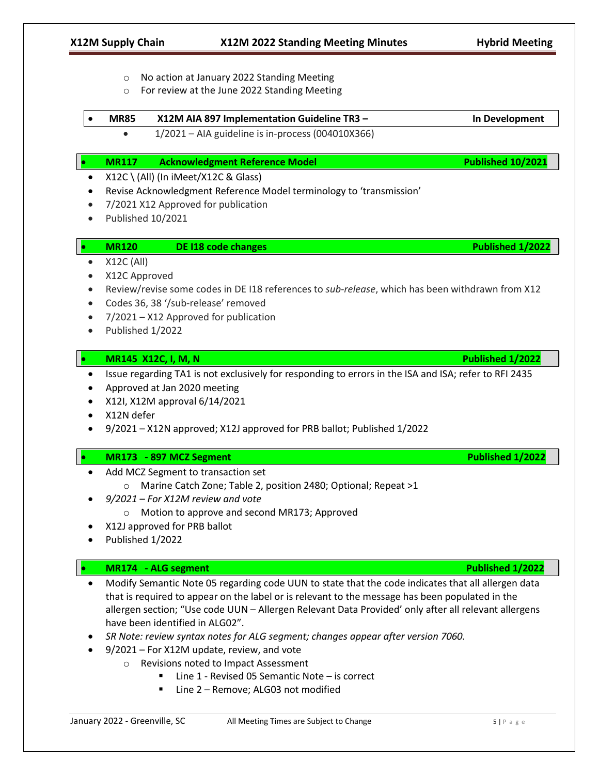- o No action at January 2022 Standing Meeting o For review at the June 2022 Standing Meeting • **MR85 X12M AIA 897 Implementation Guideline TR3 – In Development** • 1/2021 – AIA guideline is in-process (004010X366) • **MR117 Acknowledgment Reference Model Published 10/2021** • X12C \ (All) (In iMeet/X12C & Glass) • Revise Acknowledgment Reference Model terminology to 'transmission' • 7/2021 X12 Approved for publication • Published 10/2021 • **MR120 DE I18 code changes Published 1/2022**  $\bullet$  X12C (All) • X12C Approved • Review/revise some codes in DE I18 references to *sub-release*, which has been withdrawn from X12 • Codes 36, 38 '/sub-release' removed • 7/2021 – X12 Approved for publication • Published 1/2022 • **MR145 X12C, I, M, N Published 1/2022** • Issue regarding TA1 is not exclusively for responding to errors in the ISA and ISA; refer to RFI 2435 • Approved at Jan 2020 meeting • X12I, X12M approval 6/14/2021 • X12N defer • 9/2021 – X12N approved; X12J approved for PRB ballot; Published 1/2022 • **MR173 - 897 MCZ Segment Published 1/2022** • Add MCZ Segment to transaction set o Marine Catch Zone; Table 2, position 2480; Optional; Repeat >1 • *9/2021 – For X12M review and vote* o Motion to approve and second MR173; Approved • X12J approved for PRB ballot • Published 1/2022 • **MR174 - ALG segment Published 1/2022** • Modify Semantic Note 05 regarding code UUN to state that the code indicates that all allergen data that is required to appear on the label or is relevant to the message has been populated in the allergen section; "Use code UUN – Allergen Relevant Data Provided' only after all relevant allergens have been identified in ALG02". • *SR Note: review syntax notes for ALG segment; changes appear after version 7060.* • 9/2021 – For X12M update, review, and vote o Revisions noted to Impact Assessment Line 1 - Revised 05 Semantic Note – is correct
	- Line 2 Remove; ALG03 not modified